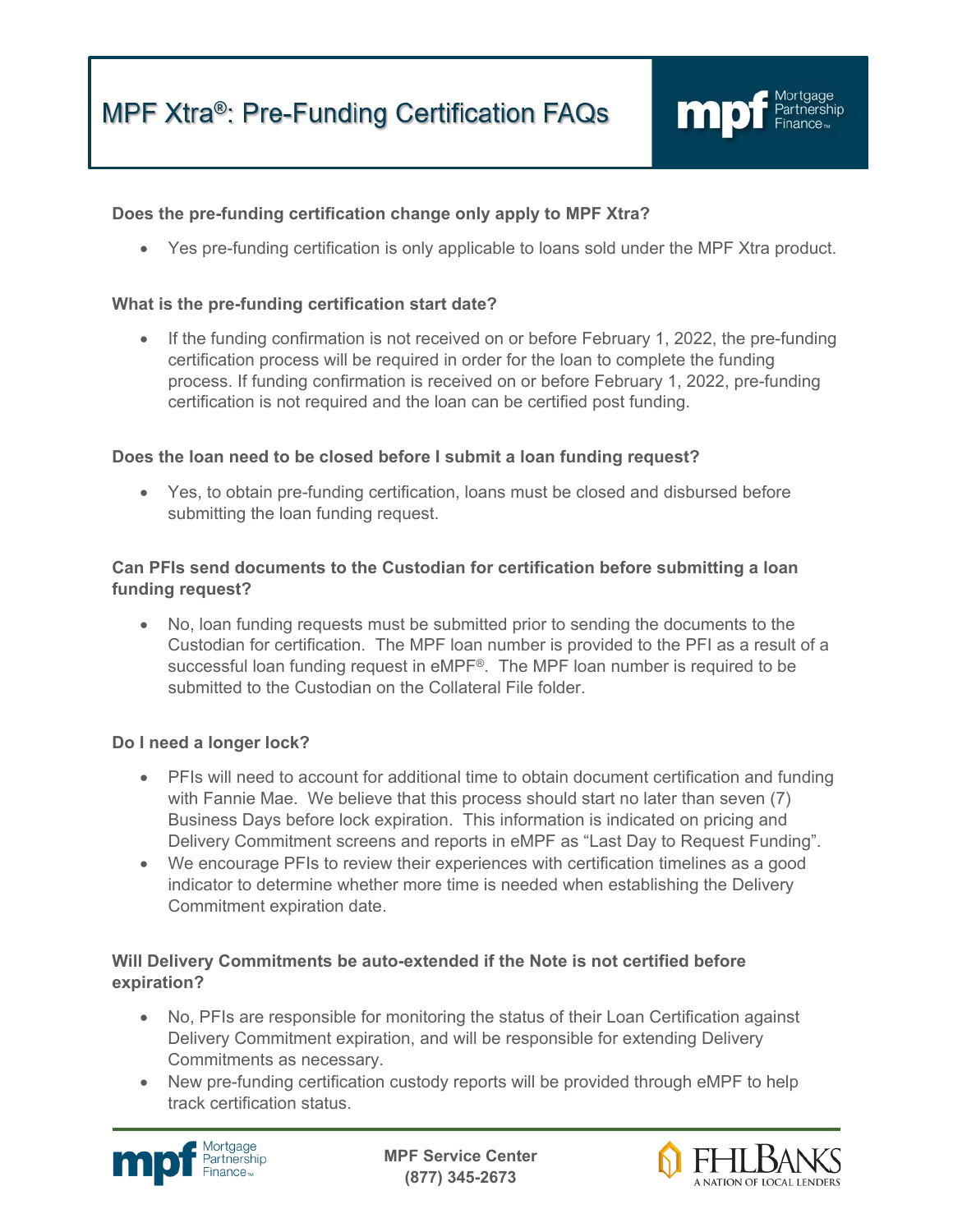

# **Does the pre-funding certification change only apply to MPF Xtra?**

• Yes pre-funding certification is only applicable to loans sold under the MPF Xtra product.

## **What is the pre-funding certification start date?**

• If the funding confirmation is not received on or before February 1, 2022, the pre-funding certification process will be required in order for the loan to complete the funding process. If funding confirmation is received on or before February 1, 2022, pre-funding certification is not required and the loan can be certified post funding.

### **Does the loan need to be closed before I submit a loan funding request?**

• Yes, to obtain pre-funding certification, loans must be closed and disbursed before submitting the loan funding request.

## **Can PFIs send documents to the Custodian for certification before submitting a loan funding request?**

• No, loan funding requests must be submitted prior to sending the documents to the Custodian for certification. The MPF loan number is provided to the PFI as a result of a successful loan funding request in eMPF®. The MPF loan number is required to be submitted to the Custodian on the Collateral File folder

## **Do I need a longer lock?**

- PFIs will need to account for additional time to obtain document certification and funding with Fannie Mae. We believe that this process should start no later than seven (7) Business Days before lock expiration. This information is indicated on pricing and Delivery Commitment screens and reports in eMPF as "Last Day to Request Funding".
- We encourage PFIs to review their experiences with certification timelines as a good indicator to determine whether more time is needed when establishing the Delivery Commitment expiration date.

# **Will Delivery Commitments be auto-extended if the Note is not certified before expiration?**

- No, PFIs are responsible for monitoring the status of their Loan Certification against Delivery Commitment expiration, and will be responsible for extending Delivery Commitments as necessary.
- New pre-funding certification custody reports will be provided through eMPF to help track certification status.



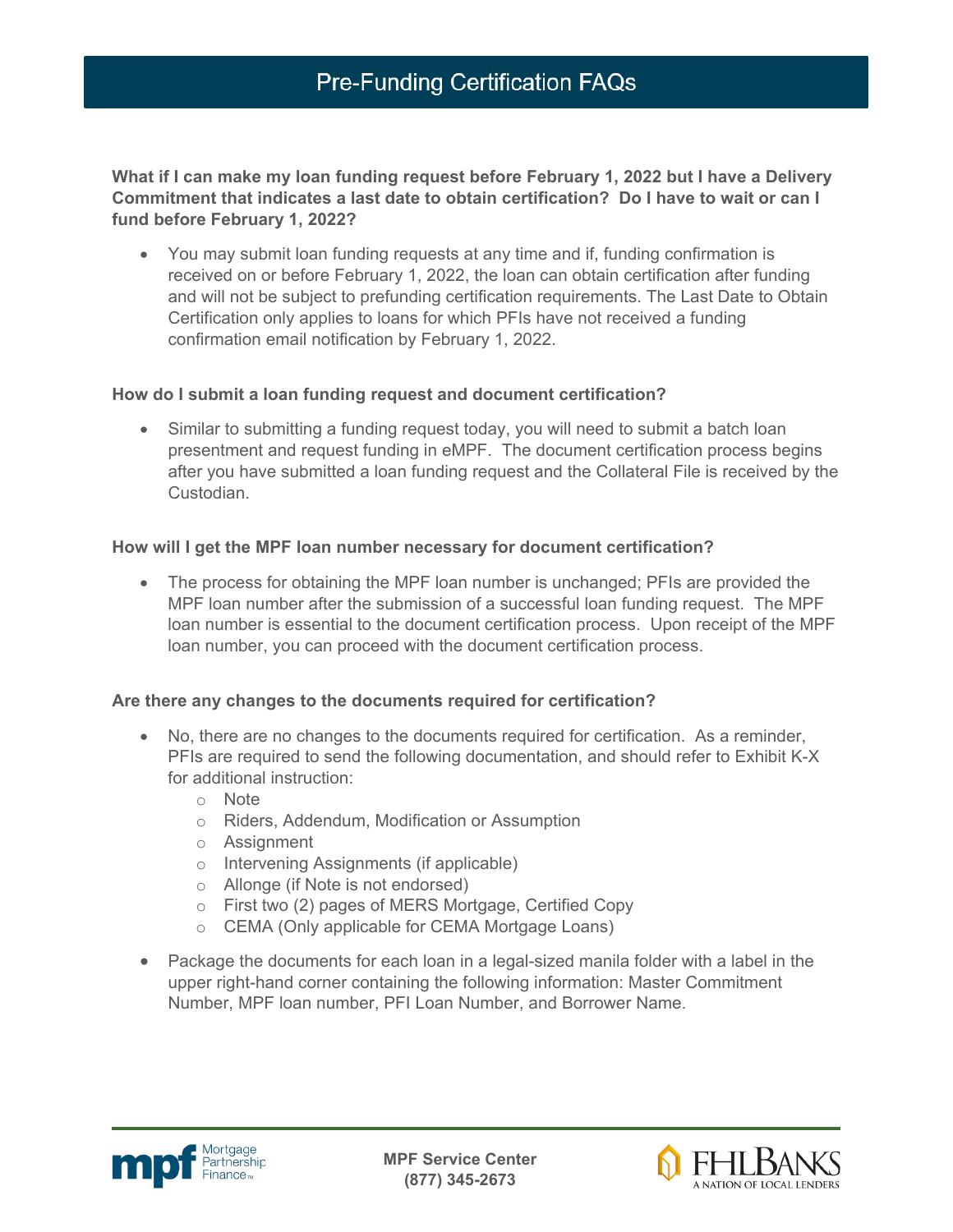#### **What if I can make my loan funding request before February 1, 2022 but I have a Delivery Commitment that indicates a last date to obtain certification? Do I have to wait or can I fund before February 1, 2022?**

• You may submit loan funding requests at any time and if, funding confirmation is received on or before February 1, 2022, the loan can obtain certification after funding and will not be subject to prefunding certification requirements. The Last Date to Obtain Certification only applies to loans for which PFIs have not received a funding confirmation email notification by February 1, 2022.

### **How do I submit a loan funding request and document certification?**

• Similar to submitting a funding request today, you will need to submit a batch loan presentment and request funding in eMPF. The document certification process begins after you have submitted a loan funding request and the Collateral File is received by the Custodian.

### **How will I get the MPF loan number necessary for document certification?**

• The process for obtaining the MPF loan number is unchanged; PFIs are provided the MPF loan number after the submission of a successful loan funding request. The MPF loan number is essential to the document certification process. Upon receipt of the MPF loan number, you can proceed with the document certification process.

## **Are there any changes to the documents required for certification?**

- No, there are no changes to the documents required for certification. As a reminder, PFIs are required to send the following documentation, and should refer to Exhibit K-X for additional instruction:
	- o Note
	- o Riders, Addendum, Modification or Assumption
	- o Assignment
	- o Intervening Assignments (if applicable)
	- o Allonge (if Note is not endorsed)
	- o First two (2) pages of MERS Mortgage, Certified Copy
	- o CEMA (Only applicable for CEMA Mortgage Loans)
- Package the documents for each loan in a legal-sized manila folder with a label in the upper right-hand corner containing the following information: Master Commitment Number, MPF loan number, PFI Loan Number, and Borrower Name.



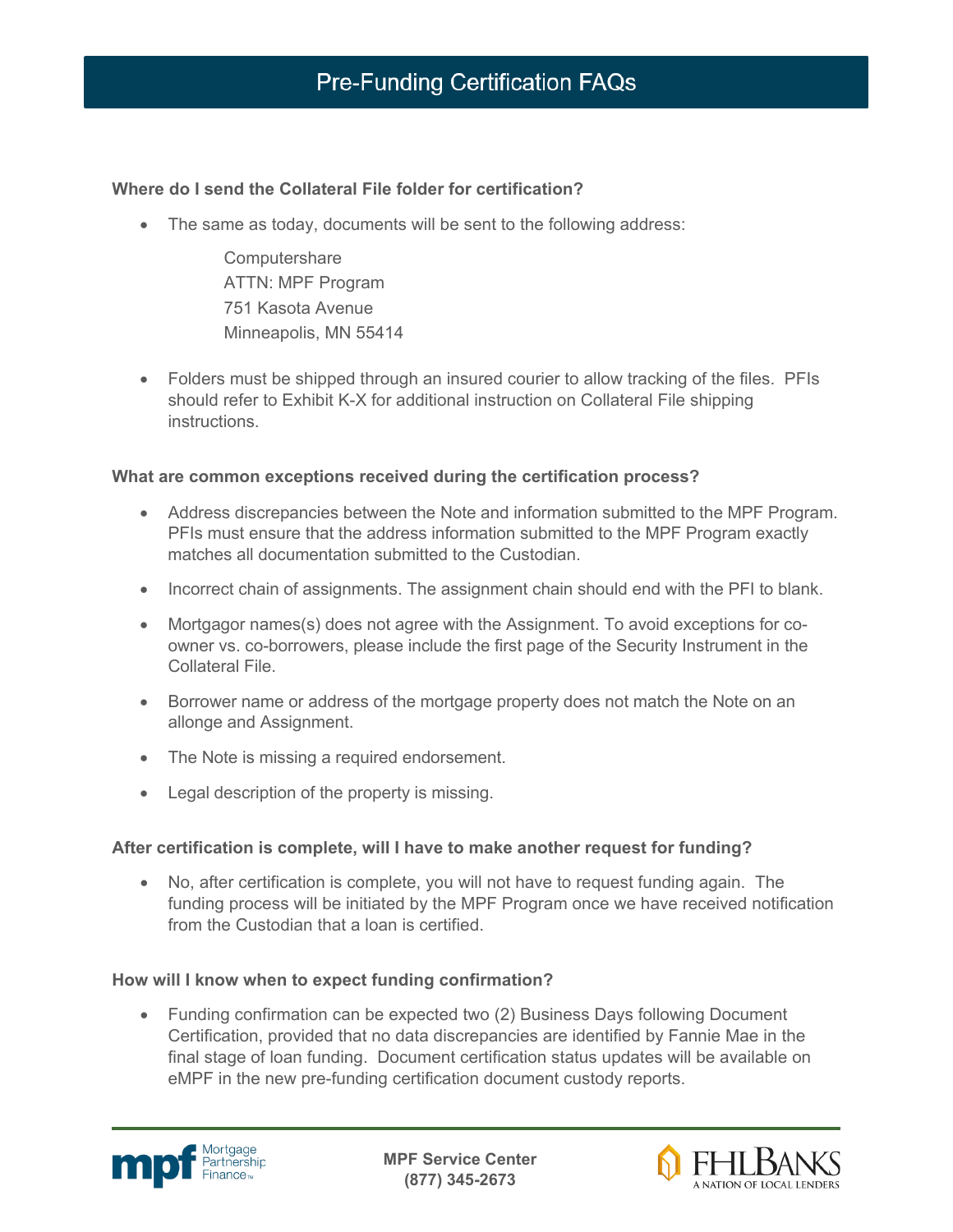## **Where do I send the Collateral File folder for certification?**

• The same as today, documents will be sent to the following address:

**Computershare** ATTN: MPF Program 751 Kasota Avenue Minneapolis, MN 55414

• Folders must be shipped through an insured courier to allow tracking of the files. PFIs should refer to Exhibit K-X for additional instruction on Collateral File shipping instructions.

## **What are common exceptions received during the certification process?**

- Address discrepancies between the Note and information submitted to the MPF Program. PFIs must ensure that the address information submitted to the MPF Program exactly matches all documentation submitted to the Custodian.
- Incorrect chain of assignments. The assignment chain should end with the PFI to blank.
- Mortgagor names(s) does not agree with the Assignment. To avoid exceptions for coowner vs. co-borrowers, please include the first page of the Security Instrument in the Collateral File.
- Borrower name or address of the mortgage property does not match the Note on an allonge and Assignment.
- The Note is missing a required endorsement.
- Legal description of the property is missing.

#### **After certification is complete, will I have to make another request for funding?**

• No, after certification is complete, you will not have to request funding again. The funding process will be initiated by the MPF Program once we have received notification from the Custodian that a loan is certified.

#### **How will I know when to expect funding confirmation?**

• Funding confirmation can be expected two (2) Business Days following Document Certification, provided that no data discrepancies are identified by Fannie Mae in the final stage of loan funding. Document certification status updates will be available on eMPF in the new pre-funding certification document custody reports.



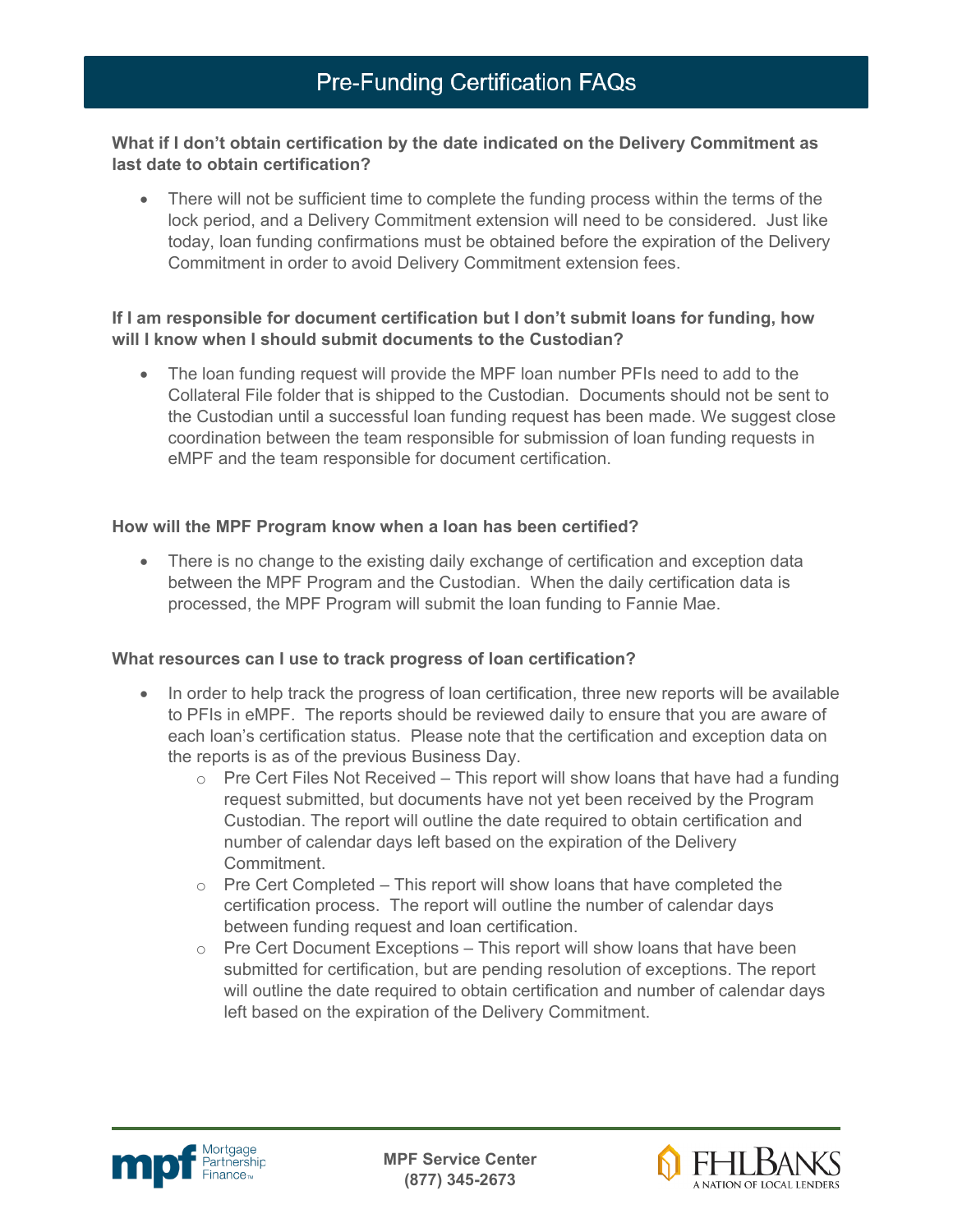### **What if I don't obtain certification by the date indicated on the Delivery Commitment as last date to obtain certification?**

• There will not be sufficient time to complete the funding process within the terms of the lock period, and a Delivery Commitment extension will need to be considered. Just like today, loan funding confirmations must be obtained before the expiration of the Delivery Commitment in order to avoid Delivery Commitment extension fees.

### **If I am responsible for document certification but I don't submit loans for funding, how will I know when I should submit documents to the Custodian?**

• The loan funding request will provide the MPF loan number PFIs need to add to the Collateral File folder that is shipped to the Custodian. Documents should not be sent to the Custodian until a successful loan funding request has been made. We suggest close coordination between the team responsible for submission of loan funding requests in eMPF and the team responsible for document certification.

### **How will the MPF Program know when a loan has been certified?**

• There is no change to the existing daily exchange of certification and exception data between the MPF Program and the Custodian. When the daily certification data is processed, the MPF Program will submit the loan funding to Fannie Mae.

## **What resources can I use to track progress of loan certification?**

- In order to help track the progress of loan certification, three new reports will be available to PFIs in eMPF. The reports should be reviewed daily to ensure that you are aware of each loan's certification status. Please note that the certification and exception data on the reports is as of the previous Business Day.
	- $\circ$  Pre Cert Files Not Received This report will show loans that have had a funding request submitted, but documents have not yet been received by the Program Custodian. The report will outline the date required to obtain certification and number of calendar days left based on the expiration of the Delivery Commitment.
	- $\circ$  Pre Cert Completed This report will show loans that have completed the certification process. The report will outline the number of calendar days between funding request and loan certification.
	- $\circ$  Pre Cert Document Exceptions This report will show loans that have been submitted for certification, but are pending resolution of exceptions. The report will outline the date required to obtain certification and number of calendar days left based on the expiration of the Delivery Commitment.